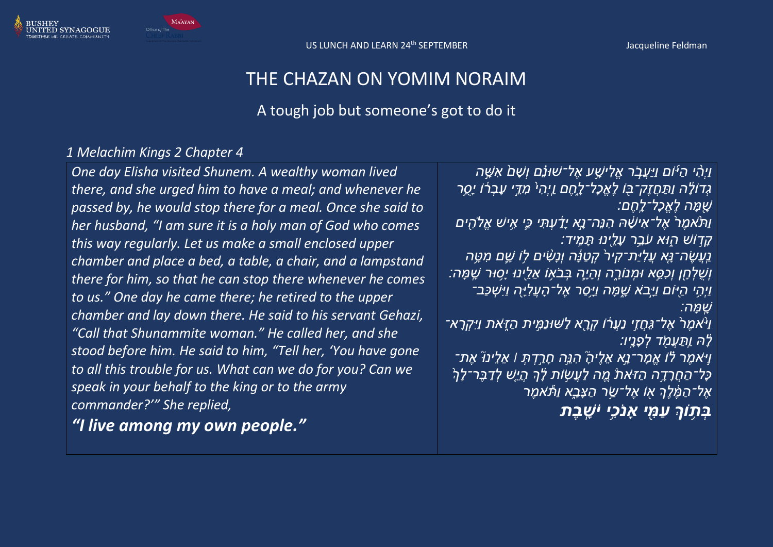

## THE CHAZAN ON YOMIM NORAIM

## A tough job but someone's got to do it

### *1 Melachim Kings 2 Chapter 4*

*One day Elisha visited Shunem. A wealthy woman lived there, and she urged him to have a meal; and whenever he passed by, he would stop there for a meal. Once she said to her husband, "I am sure it is a holy man of God who comes this way regularly. Let us make a small enclosed upper chamber and place a bed, a table, a chair, and a lampstand there for him, so that he can stop there whenever he comes to us." One day he came there; he retired to the upper chamber and lay down there. He said to his servant Gehazi, "Call that Shunammite woman." He called her, and she stood before him. He said to him, "Tell her, 'You have gone to all this trouble for us. What can we do for you? Can we speak in your behalf to the king or to the army commander?'" She replied,* 

*"I live among my own people."*

*וַיְהִִ֨ י הַ יּ֜ ֹום וַיַעֲב ֹ֧ ר אֱלִ ישָָׁׁ֣ ע אֶ ל־שּונ ֵ֗ם וְשָׁ ם֙ אִ שָָׁׁ֣ ה גְּדוֹלָ*ׂה וַתַּחֲזֶק־בָּוֹ לֶאֱכָל־לָחֶם וַיְהִי מִדֵּי עָבְרֹוֹ יָסֶר *שָּׁ֖ מָׁ ה לֶאֱכָׁל־לָׁ חֶ ם׃*

*וַת ֙ אמֶ ר֙ אֶ ל־אִ ישָָׁ֔ ּה הִ נ ה־נָָׁׁ֣א יָׁדַָ֔ עְ תִ י כִִּ֛י אִֻ֥ יש אֱֹלהִּ֖ ים*  ָ*ׂקָדְוֹשׁ הָוּא עֹבֵר עָלֵינוּ תָּמְיד* 

*ֿנַעֲשֶׂה־נָּא עֲלִיַּת־קִירֹ קְטַנָּה וְנָשָׁים לָו שֶׁם מִטֶּה וְש לְ חָּׁ֖ ן וְכִס ָׁ֣ א ּומְ נֹורָָׁ֑ ה וְהָׁ יִָּׁ֛ה בְ ב אֻ֥ ֹו א ל ּ֖ינּו יָׁסֻ֥ ּור שָׁ מָׁ ה׃ וַיְהִי הַיּוֹם וַיַּבֹא שֶׁמָּה וַיַּסָר אֶל־הַעֲלְיָּה וַיִּשְׁכָּב־ שָׁ מָׁ ה׃*

*וַיּ<sup>ָ</sup>אמֶרֹ אֶל־גֵּחָזֵי נַעֲרֹׂו קְרֶא לַשּׁוּנַמֵּית הַזֶּאת וַיִּקְרָא־ לָ<sup>יָ</sup>ה וַתַּעֲמֹד לְפָנֵיו:* 

*וַי ָׁ֣ אמֶ ר לֵ֗ ֹו אֱמָׁ ר־נָָׁׁ֣א א לֶ יהָָׁ֮ הִ נ ָׁ֣ה חָׁ רַָׁ֣ דְ תְ ׀ א ל ינּוָ֮ אֶ ת־*  ְכָ**ּל־הַחֲרָדֶה הַזֹּאת מֶֽה לַעֲשָׂות לָ**ׂךְ הָיֵש לְדַבָּר־לָךְ *אֶ ל־הַ מֶָ֔ לְֶך אּ֖ ֹו אֶ ל־שַָׁ֣ ר הַ צָׁבָָׁ֑א וַת ֹּ֕ אמֶ ר* 

*ַ בִּתְוֹךְ עִמִּי אַנֹכי יֹשָׁבַת*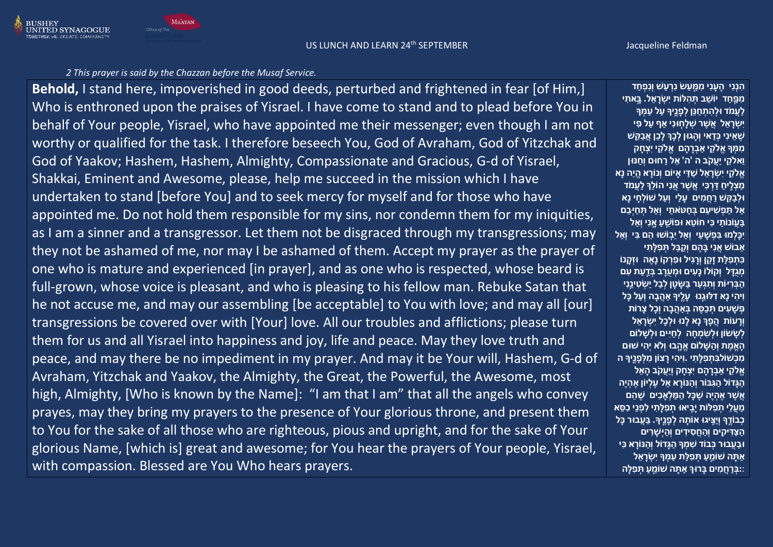#### US LUNCH AND LEARN 24<sup>th</sup> SEPTEMBER Jacqueline Feldman

#### *2 This prayer is said by the Chazzan before the Musaf Service.*

**MAAYAN** 

**Behold,** I stand here, impoverished in good deeds, perturbed and frightened in fear [of Him,] Who is enthroned upon the praises of Yisrael. I have come to stand and to plead before You in behalf of Your people, Yisrael, who have appointed me their messenger; even though I am not worthy or qualified for the task. I therefore beseech You, God of Avraham, God of Yitzchak and God of Yaakov; Hashem, Hashem, Almighty, Compassionate and Gracious, G-d of Yisrael, Shakkai, Eminent and Awesome, please, help me succeed in the mission which I have undertaken to stand [before You] and to seek mercy for myself and for those who have appointed me. Do not hold them responsible for my sins, nor condemn them for my iniquities, as I am a sinner and a transgressor. Let them not be disgraced through my transgressions; may they not be ashamed of me, nor may I be ashamed of them. Accept my prayer as the prayer of one who is mature and experienced [in prayer], and as one who is respected, whose beard is full-grown, whose voice is pleasant, and who is pleasing to his fellow man. Rebuke Satan that he not accuse me, and may our assembling [be acceptable] to You with love; and may all [our] transgressions be covered over with [Your] love. All our troubles and afflictions; please turn them for us and all Yisrael into happiness and joy, life and peace. May they love truth and peace, and may there be no impediment in my prayer. And may it be Your will, Hashem, G-d of Avraham, Yitzchak and Yaakov, the Almighty, the Great, the Powerful, the Awesome, most high, Almighty, [Who is known by the Name]: "I am that I am" that all the angels who convey prayes, may they bring my prayers to the presence of Your glorious throne, and present them to You for the sake of all those who are righteous, pious and upright, and for the sake of Your glorious Name, [which is] great and awesome; for You hear the prayers of Your people, Yisrael, with compassion. Blessed are You Who hears prayers.

**הִ נְנִ י הֶ עָ נִ י מִ מַַּֽ עַ ׂש נִ רְ עַ ׁש וְנִפְ חַ ד מִ פַַּֽ חַ ד יֹוׁשֵׁ ב תְ הִ ּלֹות יִׂשְ רָ אֵׁ ל. בַָּֽ אתִ י לַעֲמֹד ּולְ הִ תְ חַ נֵׁן לְ פָ נֶַּֽיָך עַ ל עַ מְ ָך יִׂשְ רָ אֵׁ ל אֲׁשֶ ר ׁשְ לָחַּֽ ּונִ י אַ ף עַ ל פִ י ׁשֶ אֵׁ ינִ י כְ דַ אי וְהָ גּון לְ כְָך לָכֵׁן אֲבַ קֵׁ ׁש מִ מְ ָך אֱֹלקֵׁ י אַ בְ רָ הָ ם אֱ ֹלקֵׁ י יִצְ חָ ק וֵׁאֹלקֵׁ י יַעֲקֹב ה 'ה' אֵׁ ל רַ חּום וְחַ נּון אֱֹלקֵׁ י יִׂשְ רָ אֵׁ ל ׁשַ דַ י אָ יֹום וְנֹורָ א הֱ יֵׁה נָא מַ צְ לִַּֽ יחַ דַ רְ כִ י אֲׁשֶ ר אֲנִ י הֹולְֵׁך לַעֲמֹד ּולְ בַ קֵׁ ׁש רַ חֲמִ ים עָ לַי וְעַ ל ׁשֹולְ חָ י נָא אַ ל תַ פְ ׁשִ יעֵׁ ם בְ חַ טֹאתַ י וְ אַ ל תְ חַ יְ בֵׁ ם בַ עֲֹו נֹותַ י כִ י חֹוטֵׁ א ּופֹוׁשֵַּֽׁ עַ אַָּֽ נִ י וְאַ ל יִכָלְ מּו בִ פְ ׁשָ עַ י וְאַ ל יֵׁבַּֽ ֹוׁשּו הֵׁ ם בִ י וְאַ ל אֵׁ בֹוׁש אֲנִ י בָ הֶ ם וְקַ בֵׁ ל תְ פִ ּלָתִ י כִ תְ פִ ּלַת זָקֵׁ ן וְרָ גִ יל ּופִ רְ קֹו נָאֶ ה ּוזְ קָ נֹו מְ גֻדָ ל וְקֹולֹו נָעִ ים ּומְ עֻרָ ב בְ דַַּֽ עַ ת עִ ם הַ בְ רִ יֹות וְתִ גְ עַ ר בַ שָ טָ ן לְ בַ ל יַׂשְ טִ ינֵַּֽׁנִ י וִיהִ י נָא דִ ּלּוגֵַּֽׁנּו עָ לֶַּֽ יָך אַ הֲבָ ה וְעַ ל כָל פְ ׁשָ עִ ים תְ כַסֶ ה בְ אַ הֲבָ ה וְכָל צָ רֹות וְרָ עֹות הֲפָ ְך נָא לָנּו ּולְ כָל יִׂשְ רָ אֵׁ ל לְ ׂשָ ׂשֹון ּולְ ׂשִ מְ חָ ה לְ חַ יִ ים ּולְ ׁשָ לֹום הָ אֱמֶ ת וְהַ שָ לֹום אֱהַָּֽ בּו וְלֹא יְהִ י ׁשּום מִ כְ ׁשֹולבִ תְ פִ ּלָתִ י .וִיהִ י רָ צֹון מִ ּלְ פָ נֶַּֽיָך ה אֱֹלקֵׁ י אַ בְ רָ הָ ם יִצְ חָ ק וְיַעֲקֹב הָ אֵׁ ל הַ גָדֹול הַ גִ בֹור וְהַ נֹורָ א אֵׁ ל עֶ לְ יֹון אֶ הְ יֶה אֲׁשֶ ר אֶ הְ יֶה ׁשֶ כָל הַ מַ לְ אָ כִ ים ׁשֶ הֵׁ ם מַ עֲלֵׁ י תְ פִ ּלֹות יָבִַּֽ יאּו תְ פִ ּלָתִ י לִ פְ נֵׁי כִ סֵׁ א כְ בֹודֶַּֽ ָך וְיַצִַּֽ יגּו אֹותָ ּה לְ פָ נֶַּֽיָך. בַ עֲבּור כָל הַ צַ דִ יקִ ים וְהַ חֲסִ ידִ ים וְהַ יְ ׁשָ רִ ים ּובַ עֲבּור כְ בֹוד ׁשִ מְ ָך הַ גָדֹול וְהַ נֹורָ א כִ י אַ תָ ה ׁשֹומֵַּֽׁ עַ תְ פִ ּלַת עַ מְ ָך יִׂשְ רָ אֵׁ ל :**:**בְ רַ חֲמִ ים בָ רּוְך אַ תָ ה ׁשֹומֵַּֽׁ עַ תְ פִ ּלָה**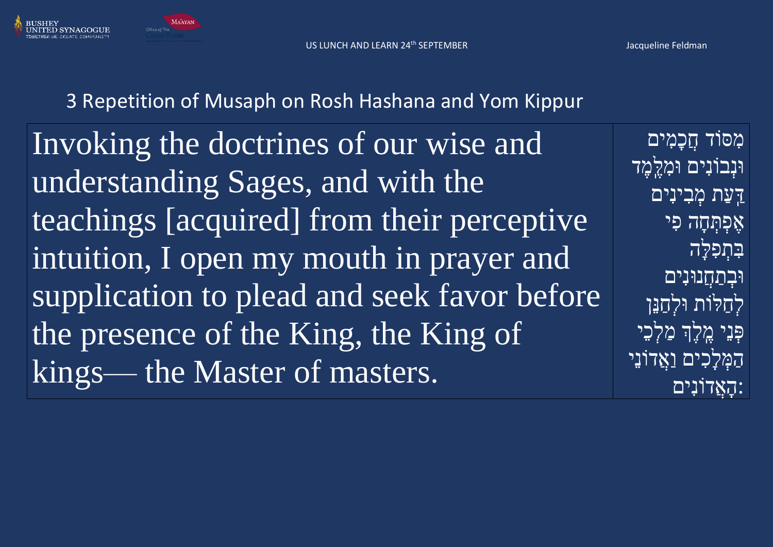US LUNCH AND LEARN 24<sup>th</sup> SEPTEMBER Jacqueline Feldman



**MAAYAN** Office of The

# 3 Repetition of Musaph on Rosh Hashana and Yom Kippur

Invoking the doctrines of our wise and understanding Sages, and with the teachings [acquired] from their perceptive intuition, I open my mouth in prayer and supplication to plead and seek favor before the presence of the King, the King of kings— the Master of masters.

מִ ּסֹוד חֲכָמִ ים ּוּנְבוֹנִים וּמְלֵמֶד <u>דָּעַת מְבְינִים</u> אֶפָּתְּחָה פִי בִּתְפָלֵה **וּבְתַחֲנוּנִים** לְחַלֹות ּולְחַנֵּן פִּנֵי מֵלֵךְ מַלָּכֵי הַמְ לָכִ ים וַאֲדֹונֵּי :הָאֲדֹונִים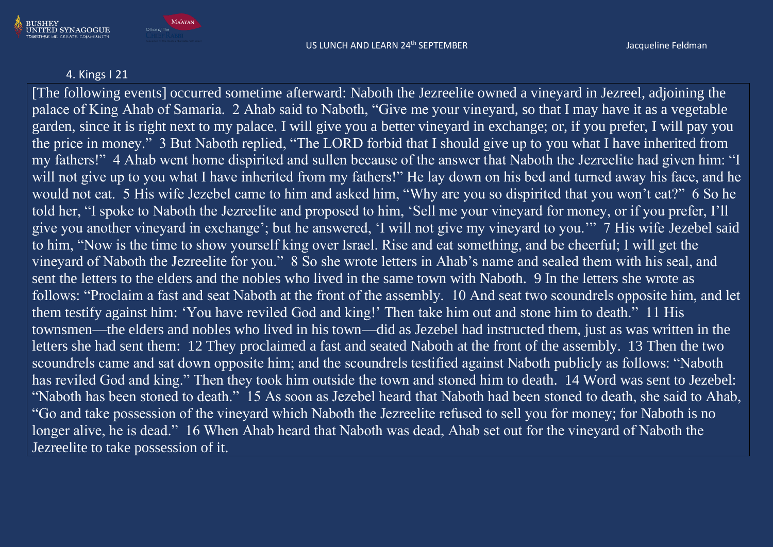

### 4. Kings I 21

BUSHEY<br>UNITED SYNAGOGUE

**GETHER WE CREATE COMMUNITY** 

**MAAYAN** 

Office of The

[The following events] occurred sometime afterward: Naboth the Jezreelite owned a vineyard in Jezreel, adjoining the palace of King Ahab of Samaria. 2 Ahab said to Naboth, "Give me your vineyard, so that I may have it as a vegetable garden, since it is right next to my palace. I will give you a better vineyard in exchange; or, if you prefer, I will pay you the price in money." 3 But Naboth replied, "The LORD forbid that I should give up to you what I have inherited from my fathers!" 4 Ahab went home dispirited and sullen because of the answer that Naboth the Jezreelite had given him: "I will not give up to you what I have inherited from my fathers!" He lay down on his bed and turned away his face, and he would not eat. 5 His wife Jezebel came to him and asked him, "Why are you so dispirited that you won't eat?" 6 So he told her, "I spoke to Naboth the Jezreelite and proposed to him, 'Sell me your vineyard for money, or if you prefer, I'll give you another vineyard in exchange'; but he answered, 'I will not give my vineyard to you.'" 7 His wife Jezebel said to him, "Now is the time to show yourself king over Israel. Rise and eat something, and be cheerful; I will get the vineyard of Naboth the Jezreelite for you." 8 So she wrote letters in Ahab's name and sealed them with his seal, and sent the letters to the elders and the nobles who lived in the same town with Naboth. 9 In the letters she wrote as follows: "Proclaim a fast and seat Naboth at the front of the assembly. 10 And seat two scoundrels opposite him, and let them testify against him: 'You have reviled God and king!' Then take him out and stone him to death." 11 His townsmen—the elders and nobles who lived in his town—did as Jezebel had instructed them, just as was written in the letters she had sent them: 12 They proclaimed a fast and seated Naboth at the front of the assembly. 13 Then the two scoundrels came and sat down opposite him; and the scoundrels testified against Naboth publicly as follows: "Naboth has reviled God and king." Then they took him outside the town and stoned him to death. 14 Word was sent to Jezebel: "Naboth has been stoned to death." 15 As soon as Jezebel heard that Naboth had been stoned to death, she said to Ahab, "Go and take possession of the vineyard which Naboth the Jezreelite refused to sell you for money; for Naboth is no longer alive, he is dead." 16 When Ahab heard that Naboth was dead, Ahab set out for the vineyard of Naboth the Jezreelite to take possession of it.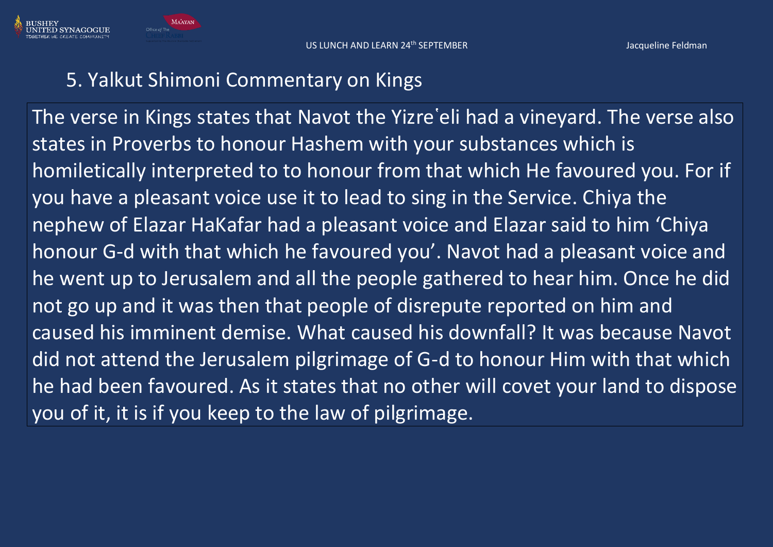

# 5. Yalkut Shimoni Commentary on Kings

The verse in Kings states that Navot the Yizre'eli had a vineyard. The verse also states in Proverbs to honour Hashem with your substances which is homiletically interpreted to to honour from that which He favoured you. For if you have a pleasant voice use it to lead to sing in the Service. Chiya the nephew of Elazar HaKafar had a pleasant voice and Elazar said to him 'Chiya honour G-d with that which he favoured you'. Navot had a pleasant voice and he went up to Jerusalem and all the people gathered to hear him. Once he did not go up and it was then that people of disrepute reported on him and caused his imminent demise. What caused his downfall? It was because Navot did not attend the Jerusalem pilgrimage of G-d to honour Him with that which he had been favoured. As it states that no other will covet your land to dispose you of it, it is if you keep to the law of pilgrimage.